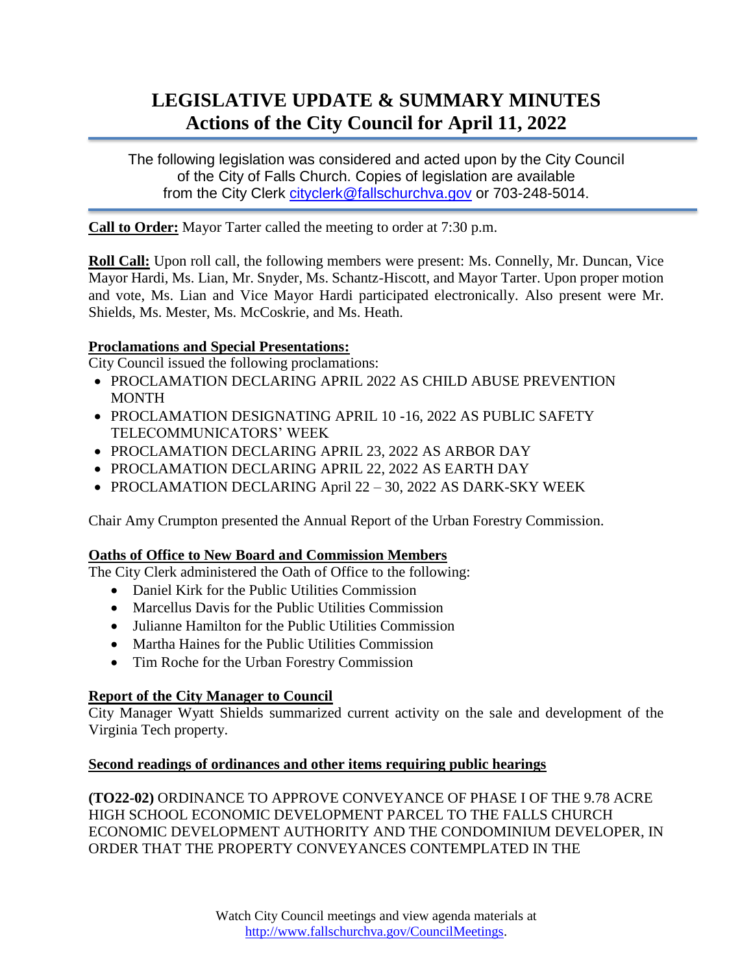# **LEGISLATIVE UPDATE & SUMMARY MINUTES Actions of the City Council for April 11, 2022**

The following legislation was considered and acted upon by the City Council of the City of Falls Church. Copies of legislation are available from the City Clerk [cityclerk@fallschurchva.gov](mailto:cityclerk@fallschurchva.gov) or 703-248-5014.

**Call to Order:** Mayor Tarter called the meeting to order at 7:30 p.m.

**Roll Call:** Upon roll call, the following members were present: Ms. Connelly, Mr. Duncan, Vice Mayor Hardi, Ms. Lian, Mr. Snyder, Ms. Schantz-Hiscott, and Mayor Tarter. Upon proper motion and vote, Ms. Lian and Vice Mayor Hardi participated electronically. Also present were Mr. Shields, Ms. Mester, Ms. McCoskrie, and Ms. Heath.

## **Proclamations and Special Presentations:**

City Council issued the following proclamations:

- PROCLAMATION DECLARING APRIL 2022 AS CHILD ABUSE PREVENTION MONTH
- PROCLAMATION DESIGNATING APRIL 10-16, 2022 AS PUBLIC SAFETY TELECOMMUNICATORS' WEEK
- PROCLAMATION DECLARING APRIL 23, 2022 AS ARBOR DAY
- PROCLAMATION DECLARING APRIL 22, 2022 AS EARTH DAY
- PROCLAMATION DECLARING April 22 30, 2022 AS DARK-SKY WEEK

Chair Amy Crumpton presented the Annual Report of the Urban Forestry Commission.

## **Oaths of Office to New Board and Commission Members**

The City Clerk administered the Oath of Office to the following:

- Daniel Kirk for the Public Utilities Commission
- Marcellus Davis for the Public Utilities Commission
- Julianne Hamilton for the Public Utilities Commission
- Martha Haines for the Public Utilities Commission
- Tim Roche for the Urban Forestry Commission

## **Report of the City Manager to Council**

City Manager Wyatt Shields summarized current activity on the sale and development of the Virginia Tech property.

## **Second readings of ordinances and other items requiring public hearings**

**(TO22-02)** ORDINANCE TO APPROVE CONVEYANCE OF PHASE I OF THE 9.78 ACRE HIGH SCHOOL ECONOMIC DEVELOPMENT PARCEL TO THE FALLS CHURCH ECONOMIC DEVELOPMENT AUTHORITY AND THE CONDOMINIUM DEVELOPER, IN ORDER THAT THE PROPERTY CONVEYANCES CONTEMPLATED IN THE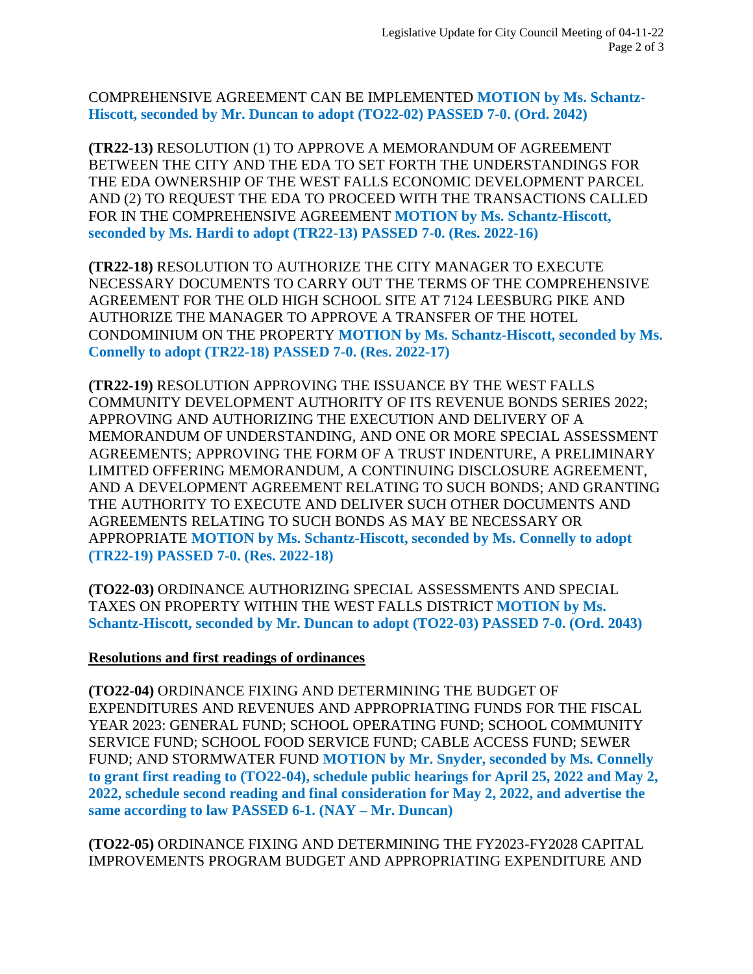COMPREHENSIVE AGREEMENT CAN BE IMPLEMENTED **MOTION by Ms. Schantz-Hiscott, seconded by Mr. Duncan to adopt (TO22-02) PASSED 7-0. (Ord. 2042)**

**(TR22-13)** RESOLUTION (1) TO APPROVE A MEMORANDUM OF AGREEMENT BETWEEN THE CITY AND THE EDA TO SET FORTH THE UNDERSTANDINGS FOR THE EDA OWNERSHIP OF THE WEST FALLS ECONOMIC DEVELOPMENT PARCEL AND (2) TO REQUEST THE EDA TO PROCEED WITH THE TRANSACTIONS CALLED FOR IN THE COMPREHENSIVE AGREEMENT **MOTION by Ms. Schantz-Hiscott, seconded by Ms. Hardi to adopt (TR22-13) PASSED 7-0. (Res. 2022-16)**

**(TR22-18)** RESOLUTION TO AUTHORIZE THE CITY MANAGER TO EXECUTE NECESSARY DOCUMENTS TO CARRY OUT THE TERMS OF THE COMPREHENSIVE AGREEMENT FOR THE OLD HIGH SCHOOL SITE AT 7124 LEESBURG PIKE AND AUTHORIZE THE MANAGER TO APPROVE A TRANSFER OF THE HOTEL CONDOMINIUM ON THE PROPERTY **MOTION by Ms. Schantz-Hiscott, seconded by Ms. Connelly to adopt (TR22-18) PASSED 7-0. (Res. 2022-17)**

**(TR22-19)** RESOLUTION APPROVING THE ISSUANCE BY THE WEST FALLS COMMUNITY DEVELOPMENT AUTHORITY OF ITS REVENUE BONDS SERIES 2022; APPROVING AND AUTHORIZING THE EXECUTION AND DELIVERY OF A MEMORANDUM OF UNDERSTANDING, AND ONE OR MORE SPECIAL ASSESSMENT AGREEMENTS; APPROVING THE FORM OF A TRUST INDENTURE, A PRELIMINARY LIMITED OFFERING MEMORANDUM, A CONTINUING DISCLOSURE AGREEMENT, AND A DEVELOPMENT AGREEMENT RELATING TO SUCH BONDS; AND GRANTING THE AUTHORITY TO EXECUTE AND DELIVER SUCH OTHER DOCUMENTS AND AGREEMENTS RELATING TO SUCH BONDS AS MAY BE NECESSARY OR APPROPRIATE **MOTION by Ms. Schantz-Hiscott, seconded by Ms. Connelly to adopt (TR22-19) PASSED 7-0. (Res. 2022-18)**

**(TO22-03)** ORDINANCE AUTHORIZING SPECIAL ASSESSMENTS AND SPECIAL TAXES ON PROPERTY WITHIN THE WEST FALLS DISTRICT **MOTION by Ms. Schantz-Hiscott, seconded by Mr. Duncan to adopt (TO22-03) PASSED 7-0. (Ord. 2043)**

#### **Resolutions and first readings of ordinances**

**(TO22-04)** ORDINANCE FIXING AND DETERMINING THE BUDGET OF EXPENDITURES AND REVENUES AND APPROPRIATING FUNDS FOR THE FISCAL YEAR 2023: GENERAL FUND; SCHOOL OPERATING FUND; SCHOOL COMMUNITY SERVICE FUND; SCHOOL FOOD SERVICE FUND; CABLE ACCESS FUND; SEWER FUND; AND STORMWATER FUND **MOTION by Mr. Snyder, seconded by Ms. Connelly to grant first reading to (TO22-04), schedule public hearings for April 25, 2022 and May 2, 2022, schedule second reading and final consideration for May 2, 2022, and advertise the same according to law PASSED 6-1. (NAY – Mr. Duncan)**

**(TO22-05)** ORDINANCE FIXING AND DETERMINING THE FY2023-FY2028 CAPITAL IMPROVEMENTS PROGRAM BUDGET AND APPROPRIATING EXPENDITURE AND